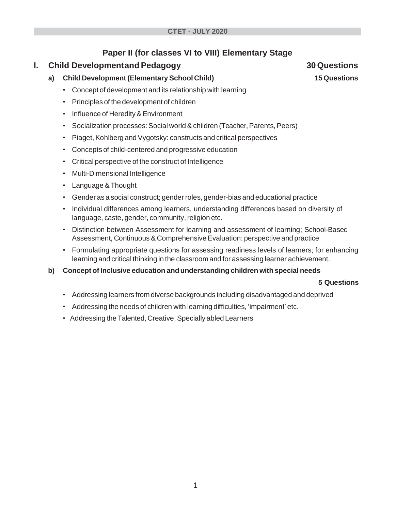## **Paper II (for classes VI to VIII) Elementary Stage**

## **I.** Child Developmentand Pedagogy **30** Questions

- **a) Child Development (Elementary School Child) 15 Questions**
	- Concept of development and its relationship with learning
	- Principles of the development of children
	- Influence of Heredity&Environment
	- Socialization processes: Social world & children (Teacher, Parents, Peers)
	- Piaget, Kohlberg and Vygotsky: constructs and critical perspectives
	- Concepts of child-centered and progressive education
	- Critical perspective of the construct of Intelligence
	- Multi-Dimensional Intelligence
	- Language & Thought
	- Gender as a social construct; gender roles, gender-bias and educational practice
	- Individual differences among learners, understanding differences based on diversity of language, caste, gender, community, religion etc.
	- Distinction between Assessment for learning and assessment of learning; School-Based Assessment, Continuous & Comprehensive Evaluation: perspective and practice
	- Formulating appropriate questions for assessing readiness levels of learners; for enhancing learning and critical thinking in the classroom and for assessing learner achievement.
- **b) Concept of Inclusive education andunderstanding children with special needs**

## **5 Questions**

- Addressing learners from diverse backgrounds including disadvantaged and deprived
- Addressing the needs of children with learning difficulties, 'impairment' etc.
- Addressing the Talented, Creative, Specially abled Learners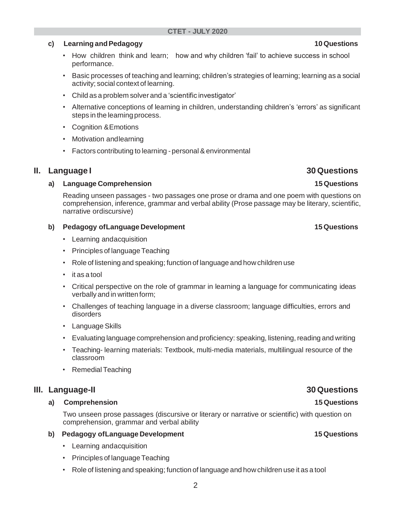## **c) Learning andPedagogy 10 Questions**

- How children think and learn; how and why children 'fail' to achieve success in school performance.
- Basic processes of teaching and learning; children's strategies of learning; learning as a social activity; social context of learning.
- Child as a problem solver and a 'scientific investigator'
- Alternative conceptions of learning in children, understanding children's 'errors' as significant steps in the learning process.
- Cognition &Emotions
- Motivation andlearning
- Factors contributing to learning personal & environmental

## **II. Language I 30 Questions**

### **a) Language Comprehension 15 Questions**

Reading unseen passages - two passages one prose or drama and one poem with questions on comprehension, inference, grammar and verbal ability (Prose passage may be literary, scientific, narrative ordiscursive)

### **b) Pedagogy ofLanguage Development 15 Questions**

- Learning andacquisition
- Principles of language Teaching
- Role of listening and speaking; function of language and how children use
- it as a tool
- Critical perspective on the role of grammar in learning a language for communicating ideas verbally and in written form;
- Challenges of teaching language in a diverse classroom; language difficulties, errors and disorders
- Language Skills
- Evaluating language comprehension and proficiency: speaking, listening, reading and writing
- Teaching- learning materials: Textbook, multi-media materials, multilingual resource of the classroom
- Remedial Teaching

## **III. Language-II 30 Questions**

#### **a) Comprehension 15 Questions**

Two unseen prose passages (discursive or literary or narrative or scientific) with question on comprehension, grammar and verbal ability

#### **b) Pedagogy ofLanguage Development 15 Questions**

- Learning andacquisition
- Principles of language Teaching
- Role of listening and speaking; function of language and how children use it as a tool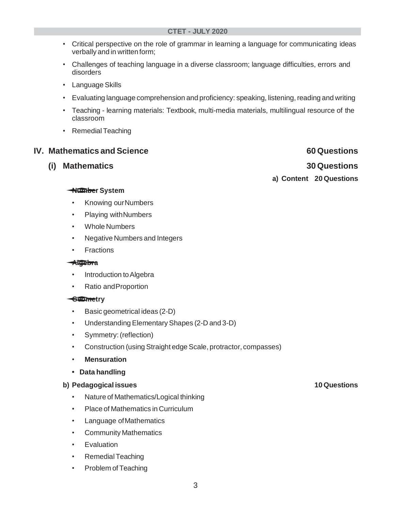- Critical perspective on the role of grammar in learning a language for communicating ideas verbally and in written form;
- Challenges of teaching language in a diverse classroom; language difficulties, errors and disorders
- Language Skills
- Evaluating language comprehension and proficiency: speaking, listening, reading and writing
- Teaching learning materials: Textbook, multi-media materials, multilingual resource of the classroom
- Remedial Teaching

## **IV.** Mathematics and Science **60 Questions**

**(i) Mathematics 30 Questions Number System a) Content 20 Questions**

- Knowing ourNumbers
- Playing withNumbers
- Whole Numbers
- Negative Numbers and Integers
- Fractions

## **Algebra**

- Introduction to Algebra
- Ratio andProportion

## **Geometry**<br>• Rasic*r*

- Basic geometrical ideas (2-D)
- Understanding ElementaryShapes (2-D and 3-D)
- Symmetry:(reflection)
- Construction (using Straight edge Scale, protractor, compasses)
- **Mensuration**
- **• Data handling**

## **b) Pedagogical issues 10 Questions**

- Nature of Mathematics/Logical thinking
- Place of Mathematics in Curriculum
- Language ofMathematics
- Community Mathematics
- **Evaluation**
- Remedial Teaching
- Problem of Teaching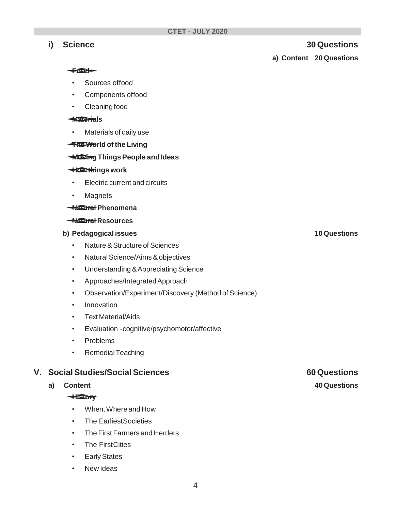## **i) Science 30 Questions**

**a) Content 20 Questions**

#### **Food**

- Sources offood
- Components offood
- Cleaning food

### **Materials**

• Materials of daily use

# **Materials**<br>• Materials of daily use<br><del>The Wo</del>rld of the Living

# <del>Moxing</del> Things People and Ideas<br><del>The Chri</del>ngs work <del>Ing Wo</del>rld of the<br>
<del>Mosting</del> Things P<br>
How things work

- Electric current and circuits
- Magnets

### **Natural Phenomena**

## **Natural Resources**

### **b) Pedagogical issues 10 Questions**

- Nature&Structure of Sciences
- NaturalScience/Aims&objectives
- Understanding &Appreciating Science
- Approaches/IntegratedApproach
- Observation/Experiment/Discovery (Method of Science)
- Innovation
- Text Material/Aids
- Evaluation -cognitive/psychomotor/affective
- Problems
- Remedial Teaching

# **V.** Social Studies/Social Sciences **60** Questions<br>
a) Content **40** Questions<br> **History**

- When,Where and How
- The EarliestSocieties
- The First Farmers and Herders
- **The FirstCities**
- **Early States**
- **New Ideas**

#### **a) Content 40 Questions**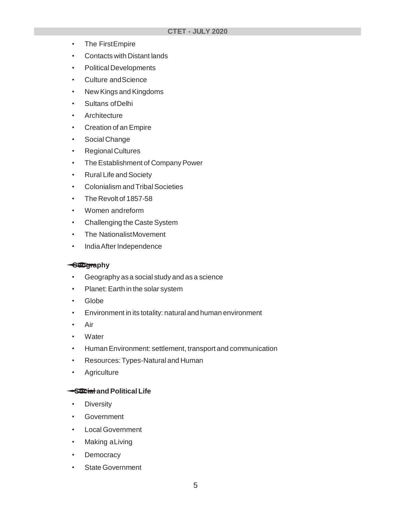- The FirstEmpire
- Contacts with Distant lands
- Political Developments
- Culture andScience
- New Kings and Kingdoms
- Sultans ofDelhi
- Architecture
- Creation of an Empire
- Social Change
- Regional Cultures
- The Establishment of Company Power
- Rural Life and Society
- Colonialism and Tribal Societies
- The Revolt of 1857-58
- Women andreform
- Challenging the Caste System
- The NationalistMovement
- IndiaAfter Independence

# **<del>Geogra</del>phy<br>• Geograp**

- Geography as a social study and as a science
- Planet: Earth in the solar system
- Globe
- Environment in its totality: natural and human environment
- Air
- Water
- HumanEnvironment: settlement, transport and communication
- Resources:Types-Natural and Human
- Agriculture

## **Social andPolitical Life**

- **Diversity**
- Government
- Local Government
- Making aLiving
- **Democracy**
- State Government